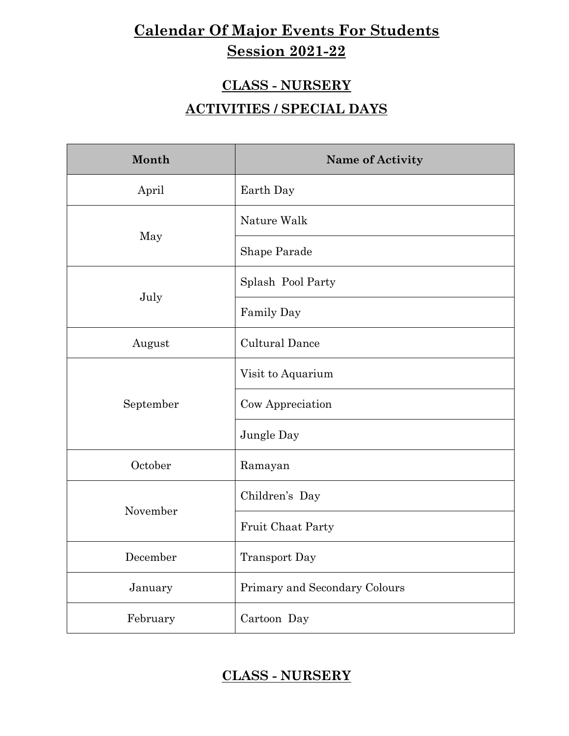# **Calendar Of Major Events For Students Session 2021-22**

### **CLASS - NURSERY**

### **ACTIVITIES / SPECIAL DAYS**

| Month     | Name of Activity              |
|-----------|-------------------------------|
| April     | Earth Day                     |
|           | Nature Walk                   |
| May       | Shape Parade                  |
|           | Splash Pool Party             |
| July      | Family Day                    |
| August    | <b>Cultural Dance</b>         |
|           | Visit to Aquarium             |
| September | Cow Appreciation              |
|           | Jungle Day                    |
| October   | Ramayan                       |
|           | Children's Day                |
| November  | Fruit Chaat Party             |
| December  | <b>Transport Day</b>          |
| January   | Primary and Secondary Colours |
| February  | Cartoon Day                   |

### **CLASS - NURSERY**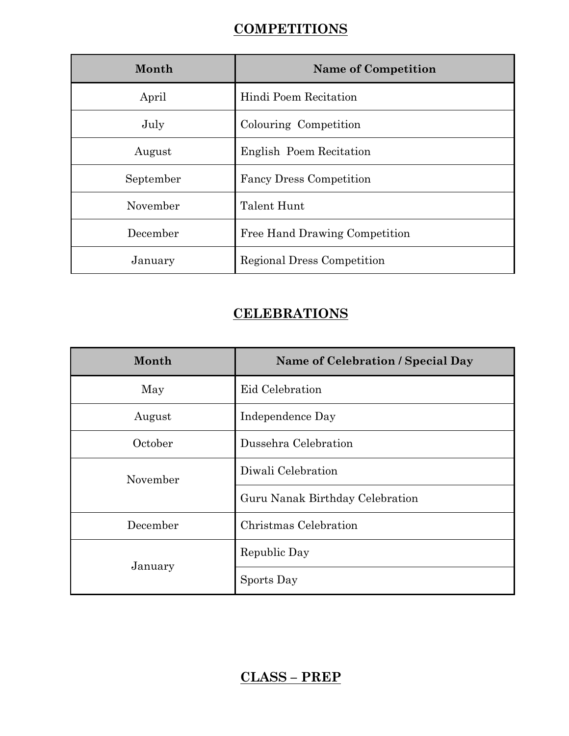### **COMPETITIONS**

| Month     | <b>Name of Competition</b>     |
|-----------|--------------------------------|
| April     | Hindi Poem Recitation          |
| July      | Colouring Competition          |
| August    | English Poem Recitation        |
| September | <b>Fancy Dress Competition</b> |
| November  | Talent Hunt                    |
| December  | Free Hand Drawing Competition  |
| January   | Regional Dress Competition     |

### **CELEBRATIONS**

| Month    | Name of Celebration / Special Day |  |
|----------|-----------------------------------|--|
| May      | Eid Celebration                   |  |
| August   | Independence Day                  |  |
| October  | Dussehra Celebration              |  |
| November | Diwali Celebration                |  |
|          | Guru Nanak Birthday Celebration   |  |
| December | Christmas Celebration             |  |
|          | Republic Day                      |  |
| January  | Sports Day                        |  |

### **CLASS – PREP**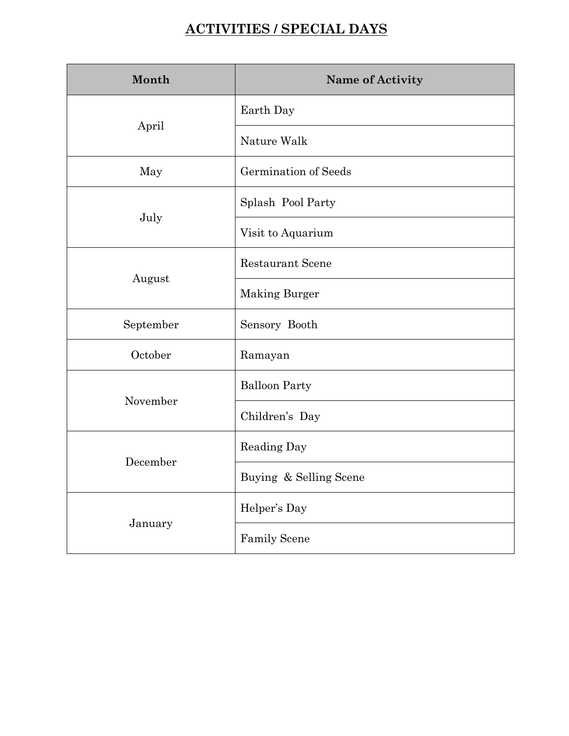## **ACTIVITIES / SPECIAL DAYS**

| Month     | Name of Activity        |
|-----------|-------------------------|
|           | Earth Day               |
| April     | Nature Walk             |
| May       | Germination of Seeds    |
|           | Splash Pool Party       |
| July      | Visit to Aquarium       |
|           | <b>Restaurant Scene</b> |
| August    | <b>Making Burger</b>    |
| September | Sensory Booth           |
| October   | Ramayan                 |
|           | <b>Balloon Party</b>    |
| November  | Children's Day          |
|           | Reading Day             |
| December  | Buying & Selling Scene  |
|           | Helper's Day            |
| January   | <b>Family Scene</b>     |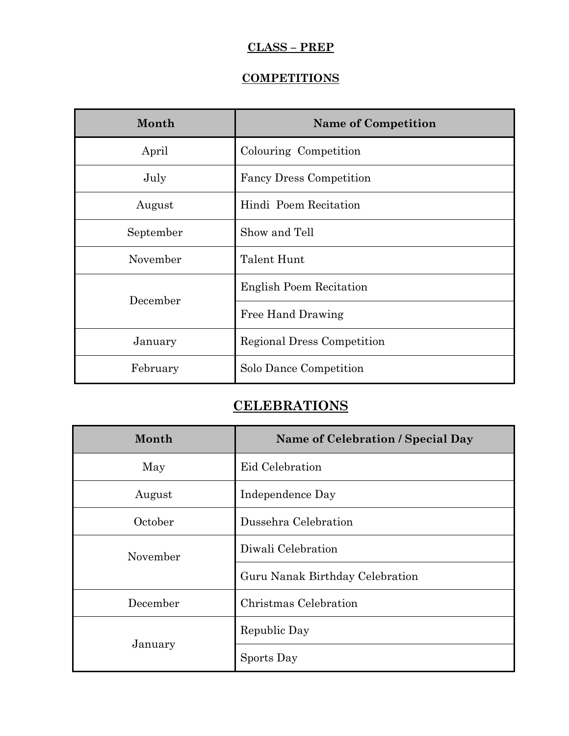#### **CLASS – PREP**

### **COMPETITIONS**

| Month     | <b>Name of Competition</b>     |
|-----------|--------------------------------|
| April     | Colouring Competition          |
| July      | <b>Fancy Dress Competition</b> |
| August    | Hindi Poem Recitation          |
| September | Show and Tell                  |
| November  | Talent Hunt                    |
| December  | <b>English Poem Recitation</b> |
|           | Free Hand Drawing              |
| January   | Regional Dress Competition     |
| February  | Solo Dance Competition         |

### **CELEBRATIONS**

| Month    | Name of Celebration / Special Day |  |
|----------|-----------------------------------|--|
| May      | Eid Celebration                   |  |
| August   | Independence Day                  |  |
| October  | Dussehra Celebration              |  |
| November | Diwali Celebration                |  |
|          | Guru Nanak Birthday Celebration   |  |
| December | Christmas Celebration             |  |
|          | Republic Day                      |  |
| January  | Sports Day                        |  |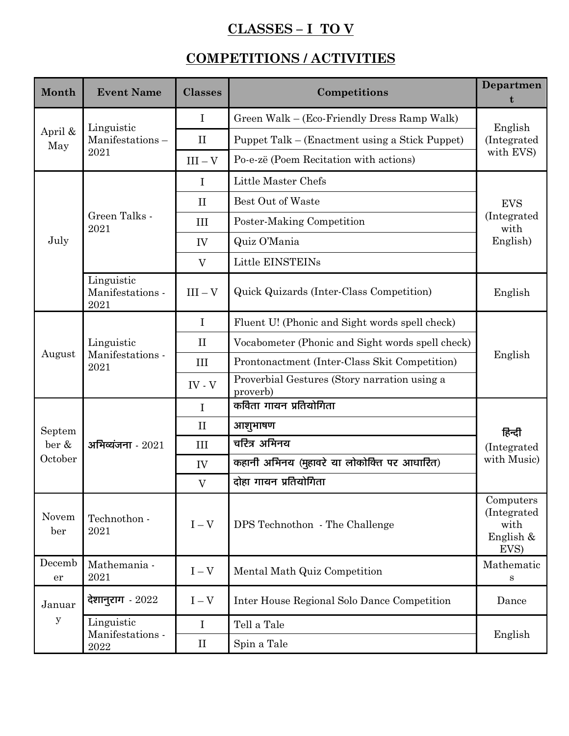## **CLASSES – I TO V**

## **COMPETITIONS / ACTIVITIES**

| Month          | <b>Event Name</b>                      | <b>Classes</b> | Competitions                                             | Departmen<br>t                                        |  |
|----------------|----------------------------------------|----------------|----------------------------------------------------------|-------------------------------------------------------|--|
|                | Linguistic<br>Manifestations-<br>2021  | $\bf{I}$       | Green Walk – (Eco-Friendly Dress Ramp Walk)              | English                                               |  |
| April &<br>May |                                        | $\rm II$       | Puppet Talk – (Enactment using a Stick Puppet)           | (Integrated                                           |  |
|                |                                        | $III - V$      | Po-e-zë (Poem Recitation with actions)                   | with EVS)                                             |  |
|                |                                        | $\bf{I}$       | Little Master Chefs                                      | <b>EVS</b><br>(Integrated)<br>with                    |  |
|                |                                        | $\mathbf{I}$   | Best Out of Waste                                        |                                                       |  |
|                | Green Talks -<br>2021                  | III            | Poster-Making Competition                                |                                                       |  |
| July           |                                        | IV             | Quiz O'Mania                                             | English)                                              |  |
|                |                                        | $\rm V$        | Little EINSTEINs                                         |                                                       |  |
|                | Linguistic<br>Manifestations -<br>2021 | $III - V$      | Quick Quizards (Inter-Class Competition)                 | English                                               |  |
|                |                                        | $\bf{I}$       | Fluent U! (Phonic and Sight words spell check)           | English                                               |  |
|                | Linguistic<br>Manifestations -<br>2021 | $\prod$        | Vocabometer (Phonic and Sight words spell check)         |                                                       |  |
| August         |                                        | III            | Prontonactment (Inter-Class Skit Competition)            |                                                       |  |
|                |                                        | $IV - V$       | Proverbial Gestures (Story narration using a<br>proverb) |                                                       |  |
|                | अभिव्यंजना - $2021$                    | $\mathbf I$    | कविता गायन प्रतियोगिता                                   | हिन्दी<br>(Integrated<br>with Music)                  |  |
| Septem         |                                        | $\mathbf{I}$   | आशुभाषण                                                  |                                                       |  |
| ber &          |                                        | III            | चरित्र अभिनय                                             |                                                       |  |
| October        |                                        | IV             | कहानी अभिनय (मुहावरे या लोकोक्ति पर आधारित)              |                                                       |  |
|                |                                        | $\mathbf{V}$   | दोहा गायन प्रतियोगिता                                    |                                                       |  |
| Novem<br>ber   | Technothon -<br>2021                   | $I - V$        | DPS Technothon - The Challenge                           | Computers<br>(Integrated<br>with<br>English &<br>EVS) |  |
| Decemb<br>er   | Mathemania -<br>2021                   | $I - V$        | Mental Math Quiz Competition                             | Mathematic<br>S                                       |  |
| Januar         | देशानुराग - 2022                       | $I - V$        | Inter House Regional Solo Dance Competition              | Dance                                                 |  |
| y              | Linguistic                             | $\mathbf I$    | Tell a Tale                                              | English                                               |  |
|                | Manifestations -<br>2022               | $\rm II$       | Spin a Tale                                              |                                                       |  |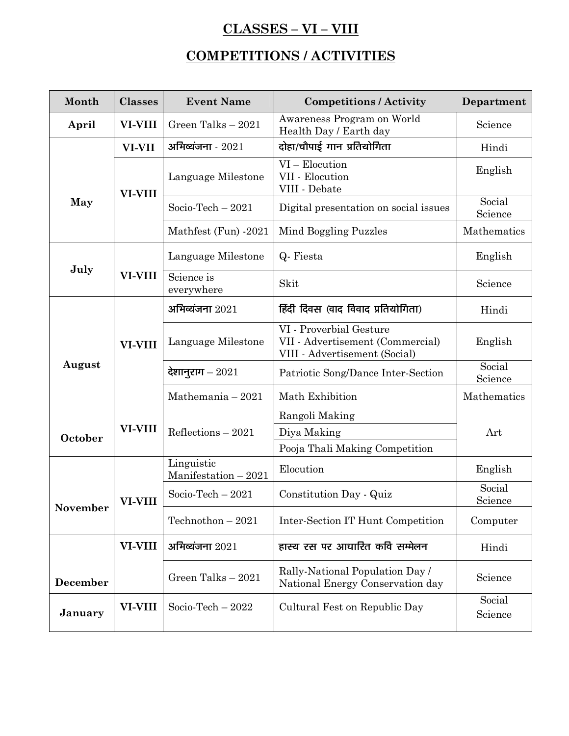## **CLASSES – VI – VIII**

## **COMPETITIONS / ACTIVITIES**

| Month    | <b>Classes</b> | <b>Event Name</b>                   | <b>Competitions / Activity</b>                                                               | Department        |
|----------|----------------|-------------------------------------|----------------------------------------------------------------------------------------------|-------------------|
| April    | VI-VIII        | Green Talks - 2021                  | Awareness Program on World<br>Health Day / Earth day                                         | Science           |
|          | VI-VII         | अभिव्यंजना - $2021$                 | दोहा/चौपाई गान प्रतियोगिता                                                                   | Hindi             |
| May      | <b>VI-VIII</b> | Language Milestone                  | VI - Elocution<br>VII - Elocution<br>VIII - Debate                                           | English           |
|          |                | Socio-Tech $-2021$                  | Digital presentation on social issues                                                        | Social<br>Science |
|          |                | Mathfest (Fun) -2021                | Mind Boggling Puzzles                                                                        | Mathematics       |
|          |                | Language Milestone                  | Q- Fiesta                                                                                    | English           |
| July     | <b>VI-VIII</b> | Science is<br>everywhere            | Skit                                                                                         | Science           |
|          |                | अभिव्यंजना $2021$                   | हिंदी दिवस (वाद विवाद प्रतियोगिता)                                                           | Hindi             |
| August   | <b>VI-VIII</b> | Language Milestone                  | VI - Proverbial Gesture<br>VII - Advertisement (Commercial)<br>VIII - Advertisement (Social) | English           |
|          |                | देशानुराग – 2021                    | Patriotic Song/Dance Inter-Section                                                           | Social<br>Science |
|          |                | Mathemania $-2021$                  | Math Exhibition                                                                              | Mathematics       |
|          |                |                                     | Rangoli Making                                                                               |                   |
| October  | <b>VI-VIII</b> | Reflections $-2021$                 | Diya Making                                                                                  | Art               |
|          |                |                                     | Pooja Thali Making Competition                                                               |                   |
|          |                | Linguistic<br>$Manification - 2021$ | Elocution                                                                                    | English           |
| November | <b>VI-VIII</b> | Socio-Tech $-2021$                  | Constitution Day - Quiz                                                                      | Social<br>Science |
|          |                | Technothon $-2021$                  | Inter-Section IT Hunt Competition                                                            | Computer          |
|          | VI-VIII        | अभिव्यंजना $2021$                   | हास्य रस पर आधारित कवि सम्मेलन                                                               | Hindi             |
| December |                | Green Talks $-2021$                 | Rally-National Population Day /<br>National Energy Conservation day                          | Science           |
| January  | VI-VIII        | Socio-Tech $-2022$                  | Cultural Fest on Republic Day                                                                | Social<br>Science |